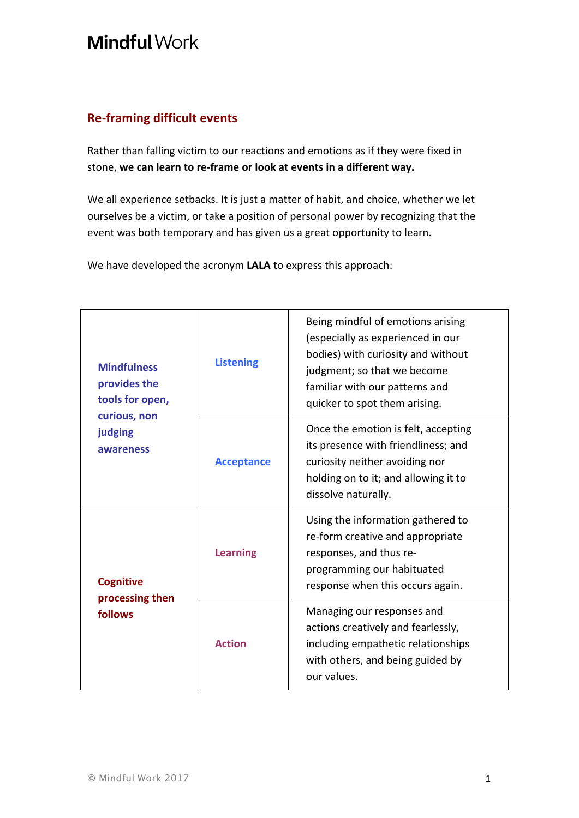## **Mindful Work**

## **Re-framing difficult events**

Rather than falling victim to our reactions and emotions as if they were fixed in stone, **we can learn to re-frame or look at events in a different way.**

We all experience setbacks. It is just a matter of habit, and choice, whether we let ourselves be a victim, or take a position of personal power by recognizing that the event was both temporary and has given us a great opportunity to learn.

We have developed the acronym LALA to express this approach:

| <b>Mindfulness</b><br>provides the<br>tools for open,<br>curious, non<br>judging<br>awareness | <b>Listening</b>  | Being mindful of emotions arising<br>(especially as experienced in our<br>bodies) with curiosity and without<br>judgment; so that we become<br>familiar with our patterns and<br>quicker to spot them arising. |
|-----------------------------------------------------------------------------------------------|-------------------|----------------------------------------------------------------------------------------------------------------------------------------------------------------------------------------------------------------|
|                                                                                               | <b>Acceptance</b> | Once the emotion is felt, accepting<br>its presence with friendliness; and<br>curiosity neither avoiding nor<br>holding on to it; and allowing it to<br>dissolve naturally.                                    |
| <b>Cognitive</b><br>processing then<br>follows                                                | <b>Learning</b>   | Using the information gathered to<br>re-form creative and appropriate<br>responses, and thus re-<br>programming our habituated<br>response when this occurs again.                                             |
|                                                                                               | <b>Action</b>     | Managing our responses and<br>actions creatively and fearlessly,<br>including empathetic relationships<br>with others, and being guided by<br>our values.                                                      |